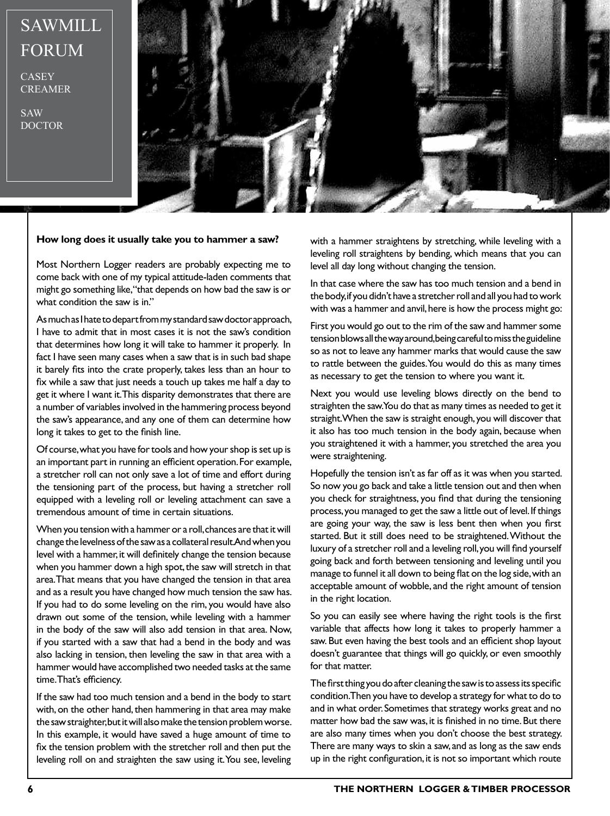## SAWMILL FORUM

**CASEY** CREAMER

SAW DOCTOR



## **How long does it usually take you to hammer a saw?**

Most Northern Logger readers are probably expecting me to come back with one of my typical attitude-laden comments that might go something like, "that depends on how bad the saw is or what condition the saw is in."

As much as I hate to depart from my standard saw doctor approach, I have to admit that in most cases it is not the saw's condition that determines how long it will take to hammer it properly. In fact I have seen many cases when a saw that is in such bad shape it barely fits into the crate properly, takes less than an hour to fix while a saw that just needs a touch up takes me half a day to get it where I want it. This disparity demonstrates that there are a number of variables involved in the hammering process beyond the saw's appearance, and any one of them can determine how long it takes to get to the finish line.

Of course, what you have for tools and how your shop is set up is an important part in running an efficient operation. For example, a stretcher roll can not only save a lot of time and effort during the tensioning part of the process, but having a stretcher roll equipped with a leveling roll or leveling attachment can save a tremendous amount of time in certain situations.

When you tension with a hammer or a roll, chances are that it will change the levelness of the saw as a collateral result. And when you level with a hammer, it will definitely change the tension because when you hammer down a high spot, the saw will stretch in that area. That means that you have changed the tension in that area and as a result you have changed how much tension the saw has. If you had to do some leveling on the rim, you would have also drawn out some of the tension, while leveling with a hammer in the body of the saw will also add tension in that area. Now, if you started with a saw that had a bend in the body and was also lacking in tension, then leveling the saw in that area with a hammer would have accomplished two needed tasks at the same time. That's efficiency.

If the saw had too much tension and a bend in the body to start with, on the other hand, then hammering in that area may make the saw straighter, but it will also make the tension problem worse. In this example, it would have saved a huge amount of time to fix the tension problem with the stretcher roll and then put the leveling roll on and straighten the saw using it. You see, leveling

with a hammer straightens by stretching, while leveling with a leveling roll straightens by bending, which means that you can level all day long without changing the tension.

In that case where the saw has too much tension and a bend in the body, if you didn't have a stretcher roll and all you had to work with was a hammer and anvil, here is how the process might go:

First you would go out to the rim of the saw and hammer some tension blows all the way around, being careful to miss the guideline so as not to leave any hammer marks that would cause the saw to rattle between the guides. You would do this as many times as necessary to get the tension to where you want it.

Next you would use leveling blows directly on the bend to straighten the saw. You do that as many times as needed to get it straight. When the saw is straight enough, you will discover that it also has too much tension in the body again, because when you straightened it with a hammer, you stretched the area you were straightening.

Hopefully the tension isn't as far off as it was when you started. So now you go back and take a little tension out and then when you check for straightness, you find that during the tensioning process, you managed to get the saw a little out of level. If things are going your way, the saw is less bent then when you first started. But it still does need to be straightened. Without the luxury of a stretcher roll and a leveling roll, you will find yourself going back and forth between tensioning and leveling until you manage to funnel it all down to being flat on the log side, with an acceptable amount of wobble, and the right amount of tension in the right location.

So you can easily see where having the right tools is the first variable that affects how long it takes to properly hammer a saw. But even having the best tools and an efficient shop layout doesn't guarantee that things will go quickly, or even smoothly for that matter.

The first thing you do after cleaning the saw is to assess its specific condition. Then you have to develop a strategy for what to do to and in what order. Sometimes that strategy works great and no matter how bad the saw was, it is finished in no time. But there are also many times when you don't choose the best strategy. There are many ways to skin a saw, and as long as the saw ends up in the right configuration, it is not so important which route